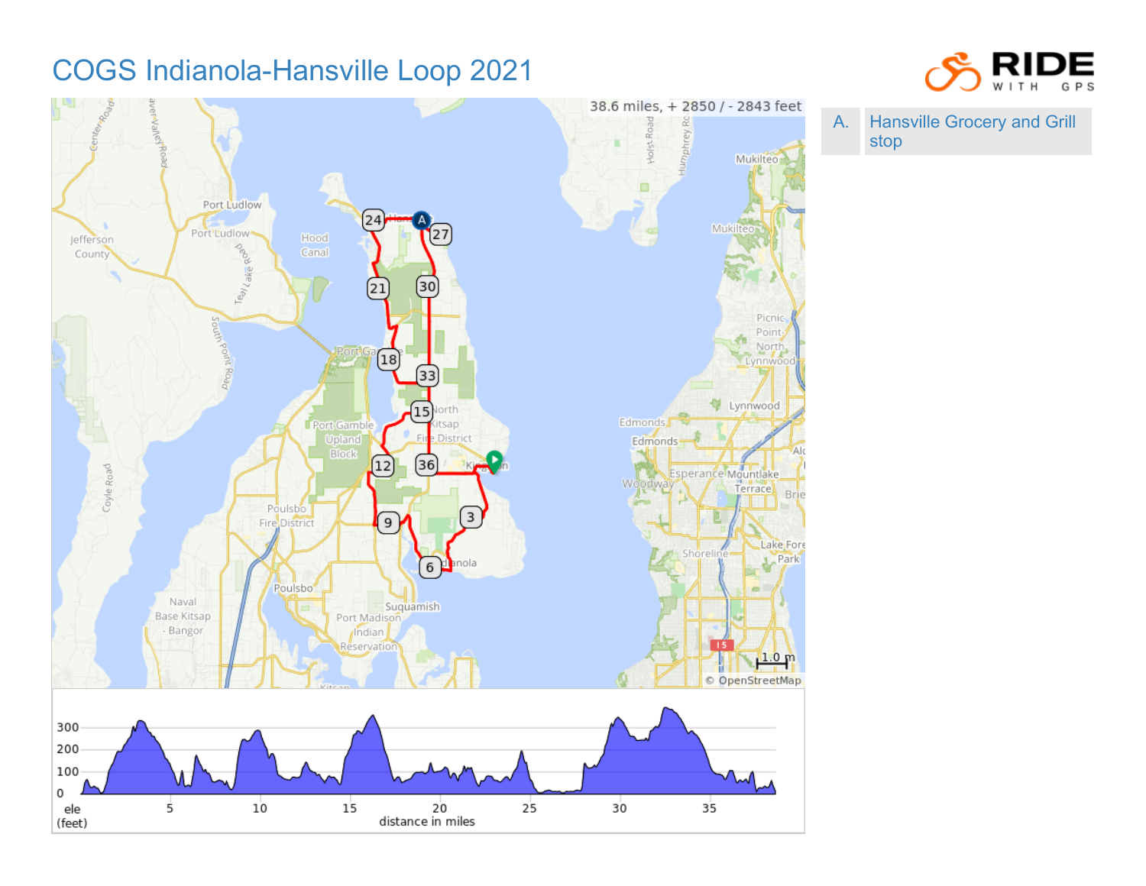## COGS Indianola-Hansville Loop 2021





A. Hansville Grocery and Grill stop